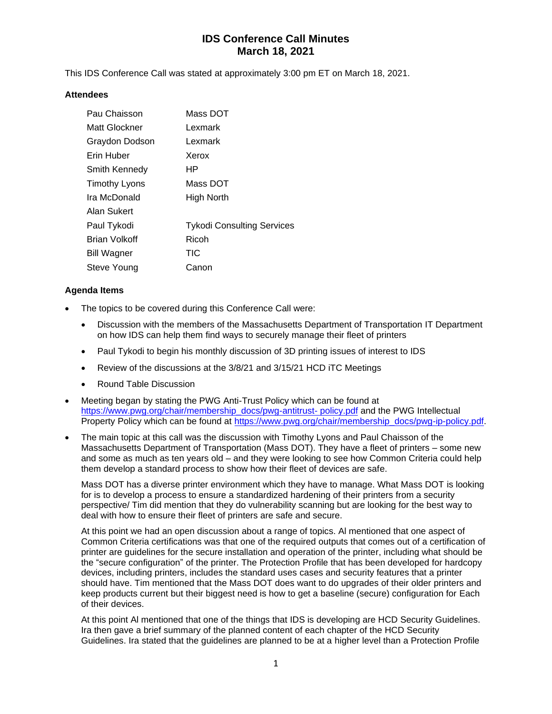# **IDS Conference Call Minutes March 18, 2021**

This IDS Conference Call was stated at approximately 3:00 pm ET on March 18, 2021.

#### **Attendees**

| Pau Chaisson       | Mass DOT                          |
|--------------------|-----------------------------------|
| Matt Glockner      | Lexmark                           |
| Graydon Dodson     | Lexmark                           |
| Erin Huber         | Xerox                             |
| Smith Kennedy      | НP                                |
| Timothy Lyons      | Mass DOT                          |
| Ira McDonald       | High North                        |
| Alan Sukert        |                                   |
| Paul Tykodi        | <b>Tykodi Consulting Services</b> |
| Brian Volkoff      | Ricoh                             |
| <b>Bill Wagner</b> | TIC                               |
| Steve Young        | Canon                             |

### **Agenda Items**

- The topics to be covered during this Conference Call were:
	- Discussion with the members of the Massachusetts Department of Transportation IT Department on how IDS can help them find ways to securely manage their fleet of printers
	- Paul Tykodi to begin his monthly discussion of 3D printing issues of interest to IDS
	- Review of the discussions at the 3/8/21 and 3/15/21 HCD iTC Meetings
	- Round Table Discussion
- Meeting began by stating the PWG Anti-Trust Policy which can be found at [https://www.pwg.org/chair/membership\\_docs/pwg-antitrust-](https://www.pwg.org/chair/membership_docs/pwg-antitrust-%20policy.pdf) policy.pdf and the PWG Intellectual Property Policy which can be found at [https://www.pwg.org/chair/membership\\_docs/pwg-ip-policy.pdf.](https://www.pwg.org/chair/membership_docs/pwg-ip-policy.pdf)
- The main topic at this call was the discussion with Timothy Lyons and Paul Chaisson of the Massachusetts Department of Transportation (Mass DOT). They have a fleet of printers – some new and some as much as ten years old – and they were looking to see how Common Criteria could help them develop a standard process to show how their fleet of devices are safe.

Mass DOT has a diverse printer environment which they have to manage. What Mass DOT is looking for is to develop a process to ensure a standardized hardening of their printers from a security perspective/ Tim did mention that they do vulnerability scanning but are looking for the best way to deal with how to ensure their fleet of printers are safe and secure.

At this point we had an open discussion about a range of topics. Al mentioned that one aspect of Common Criteria certifications was that one of the required outputs that comes out of a certification of printer are guidelines for the secure installation and operation of the printer, including what should be the "secure configuration" of the printer. The Protection Profile that has been developed for hardcopy devices, including printers, includes the standard uses cases and security features that a printer should have. Tim mentioned that the Mass DOT does want to do upgrades of their older printers and keep products current but their biggest need is how to get a baseline (secure) configuration for Each of their devices.

At this point Al mentioned that one of the things that IDS is developing are HCD Security Guidelines. Ira then gave a brief summary of the planned content of each chapter of the HCD Security Guidelines. Ira stated that the guidelines are planned to be at a higher level than a Protection Profile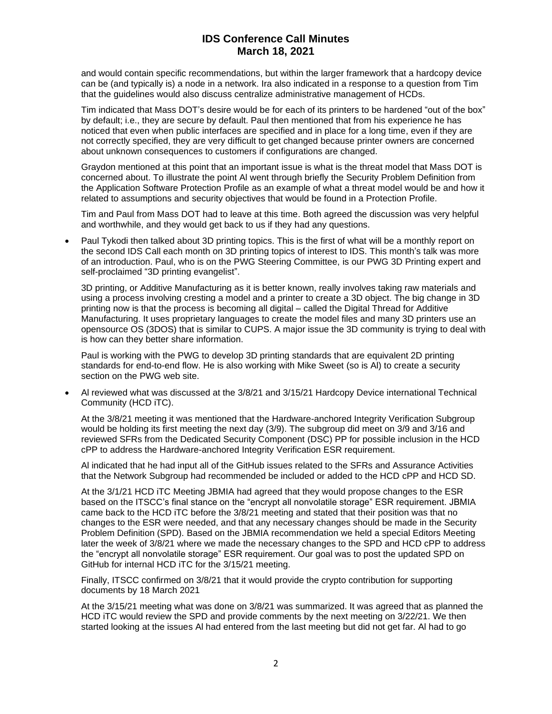## **IDS Conference Call Minutes March 18, 2021**

and would contain specific recommendations, but within the larger framework that a hardcopy device can be (and typically is) a node in a network. Ira also indicated in a response to a question from Tim that the guidelines would also discuss centralize administrative management of HCDs.

Tim indicated that Mass DOT's desire would be for each of its printers to be hardened "out of the box" by default; i.e., they are secure by default. Paul then mentioned that from his experience he has noticed that even when public interfaces are specified and in place for a long time, even if they are not correctly specified, they are very difficult to get changed because printer owners are concerned about unknown consequences to customers if configurations are changed.

Graydon mentioned at this point that an important issue is what is the threat model that Mass DOT is concerned about. To illustrate the point Al went through briefly the Security Problem Definition from the Application Software Protection Profile as an example of what a threat model would be and how it related to assumptions and security objectives that would be found in a Protection Profile.

Tim and Paul from Mass DOT had to leave at this time. Both agreed the discussion was very helpful and worthwhile, and they would get back to us if they had any questions.

• Paul Tykodi then talked about 3D printing topics. This is the first of what will be a monthly report on the second IDS Call each month on 3D printing topics of interest to IDS. This month's talk was more of an introduction. Paul, who is on the PWG Steering Committee, is our PWG 3D Printing expert and self-proclaimed "3D printing evangelist".

3D printing, or Additive Manufacturing as it is better known, really involves taking raw materials and using a process involving cresting a model and a printer to create a 3D object. The big change in 3D printing now is that the process is becoming all digital – called the Digital Thread for Additive Manufacturing. It uses proprietary languages to create the model files and many 3D printers use an opensource OS (3DOS) that is similar to CUPS. A major issue the 3D community is trying to deal with is how can they better share information.

Paul is working with the PWG to develop 3D printing standards that are equivalent 2D printing standards for end-to-end flow. He is also working with Mike Sweet (so is Al) to create a security section on the PWG web site.

• Al reviewed what was discussed at the 3/8/21 and 3/15/21 Hardcopy Device international Technical Community (HCD iTC).

At the 3/8/21 meeting it was mentioned that the Hardware-anchored Integrity Verification Subgroup would be holding its first meeting the next day (3/9). The subgroup did meet on 3/9 and 3/16 and reviewed SFRs from the Dedicated Security Component (DSC) PP for possible inclusion in the HCD cPP to address the Hardware-anchored Integrity Verification ESR requirement.

Al indicated that he had input all of the GitHub issues related to the SFRs and Assurance Activities that the Network Subgroup had recommended be included or added to the HCD cPP and HCD SD.

At the 3/1/21 HCD iTC Meeting JBMIA had agreed that they would propose changes to the ESR based on the ITSCC's final stance on the "encrypt all nonvolatile storage" ESR requirement. JBMIA came back to the HCD iTC before the 3/8/21 meeting and stated that their position was that no changes to the ESR were needed, and that any necessary changes should be made in the Security Problem Definition (SPD). Based on the JBMIA recommendation we held a special Editors Meeting later the week of 3/8/21 where we made the necessary changes to the SPD and HCD cPP to address the "encrypt all nonvolatile storage" ESR requirement. Our goal was to post the updated SPD on GitHub for internal HCD iTC for the 3/15/21 meeting.

Finally, ITSCC confirmed on 3/8/21 that it would provide the crypto contribution for supporting documents by 18 March 2021

At the 3/15/21 meeting what was done on 3/8/21 was summarized. It was agreed that as planned the HCD iTC would review the SPD and provide comments by the next meeting on 3/22/21. We then started looking at the issues Al had entered from the last meeting but did not get far. Al had to go